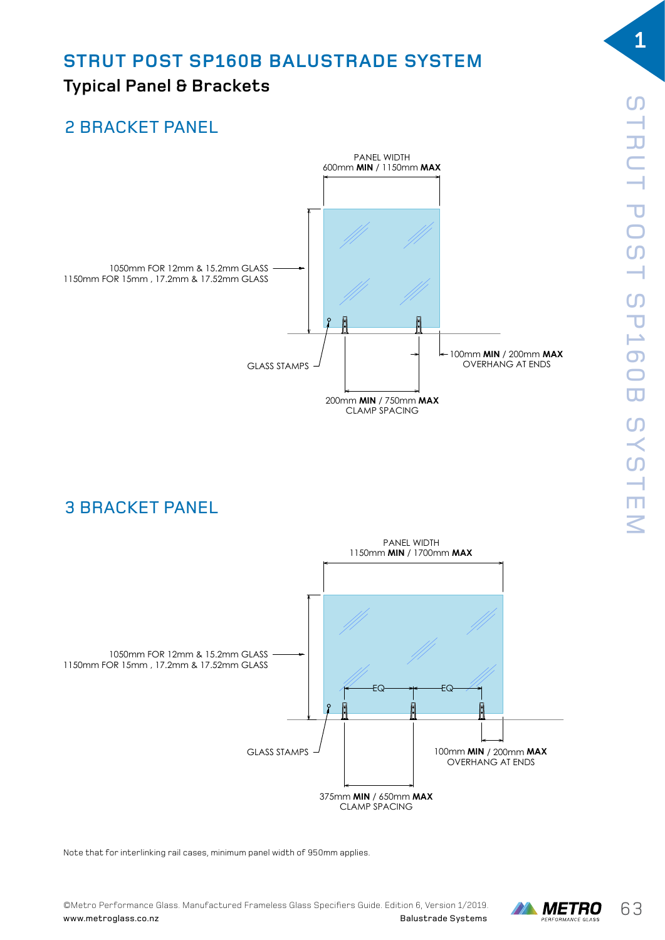#### **STRUT POST SP160B BALUSTRADE SYSTEM** THE PALOOTHADE OTC  $\overline{S}$

# Typical Panel & Brackets

# 2 BRACKET PANEL 2 BRACKET PANEL



3 BRACKET PANEL 3 BRACKET PANEL



Note that for interlinking rail cases, minimum panel width of 950mm applies.



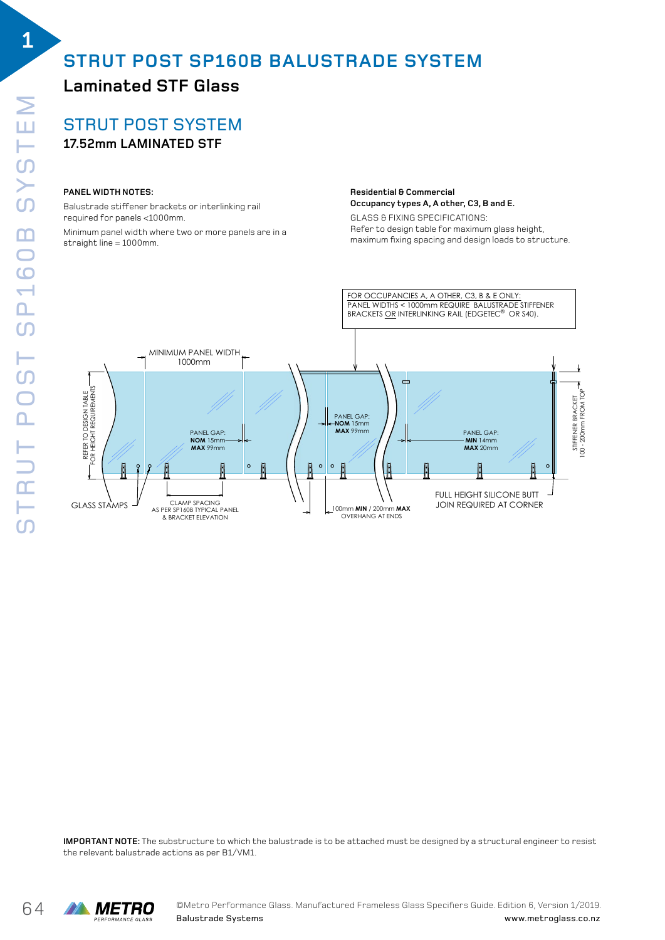SYSTEM

STRUT POST SP160B SYSTEM

STRUT POST

160B

# **STRUT POST SP160B BALUSTRADE SYSTEM**

## **Laminated STF Glass**

STRUT POST SYSTEM **17.52mm LAMINATED STF** STRUTPOST SPIEGER SPIEGER SPIEGER SPIEGER SPIEGER SPIEGER SPIEGER SPIEGER SPIEGER SPIEGER SPIEGER SPIEGER SPIEGER SPIEGER SPIEGER SPIEGER SPIEGER SPIEGER SPIEGER SPIEGER SPIEGER SPIEGER SPIEGER SPIEGER SPIEGER SPIEGER SPIE

### **PANEL WIDTH NOTES:**

Balustrade stiffener brackets or interlinking rail STRUT POST SYSTEM paiusti aue striverier brackets or intei<br>required for panels <1000mm.

Minimum panel width where two or more panels are in a straight line = 1000mm.

#### **Residential & Commercial RESIDENTIAL & COMMERCIAL Occupancy types A, A other, C3, B and E. Occupancy types A, A other, C3, B and E.**

GLASS & FIXING SPECIFICATIONS: EENS COMMAND OF ENTERTATIONS.<br>Refer to design table for maximum glass height, maximum fixing spacing and design loads to structure. Refer to design table for maximum glass height, maximum fixing spacing and design loads to structure.



**IMPORTANT NOTE:** The substructure to which the balustrade is to be attached must be designed by a structural engineer to resist the relevant balustrade actions as per B1/VM1.

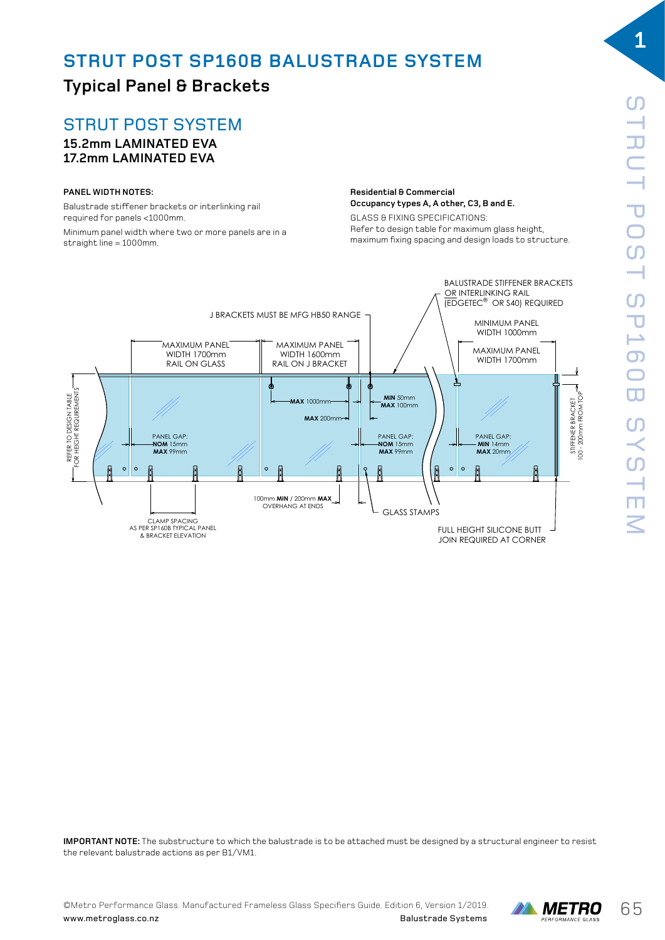## **STRUT POST SP160B BALUSTRADE SYSTEM**

## **Typical Panel & Brackets**

## STRUT POST SYSTEM

#### **15.2mm LAMINATED EVA 17.2mm LAMINATED EVA** STRUTPOST SPIEGE SPIEGE SPIEGE SPIEGE SPIEGE SPIEGE SPIEGE SPIEGE SPIEGE SPIEGE SPIEGE SPIEGE SPIEGE SPIEGE SP<br>DIE VA

#### **PANEL WIDTH NOTES:**

Balustrade stiffener brackets or interlinking rail required for panels <1000mm.

Minimum panel width where two or more panels are in a straight line = 1000mm.

### **Residential & Commercial Occupancy types A, A other, C3, B and E.**

GLASS & FIXING SPECIFICATIONS: **Occupancy types A, A other, C3, B and E.** Refer to design table for maximum glass height, maximum fixing spacing and design loads to structure.



**IMPORTANT NOTE:** The substructure to which the balustrade is to be attached must be designed by a structural engineer to resist the relevant balustrade actions as per B1/VM1.

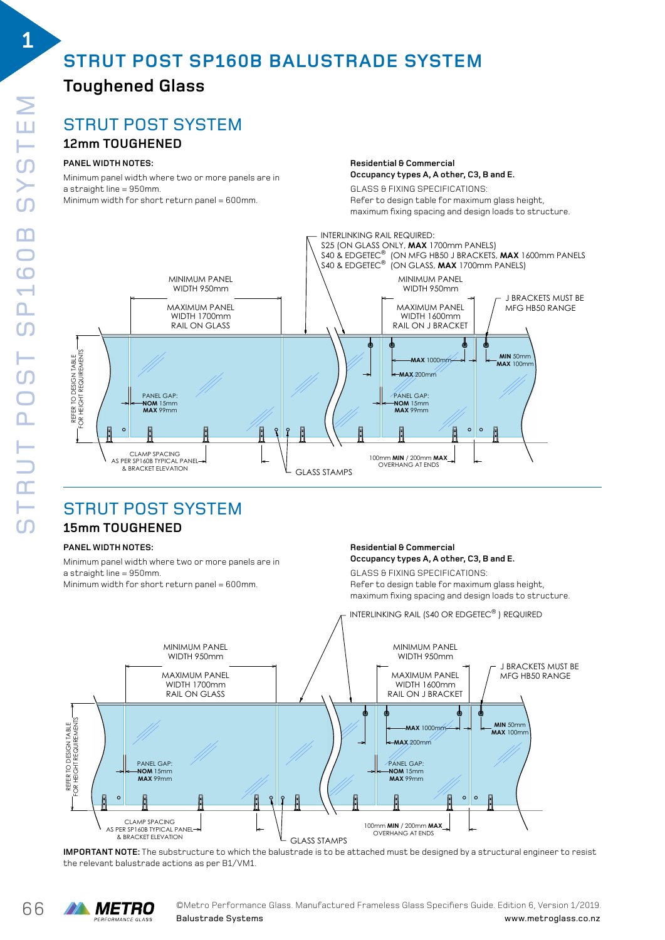# **STRUT POST SP160B BALUSTRADE SYSTEM**

### **Toughened Glass**

### STRUT POST SYSTEM ELECTRONIC CONTROLLER STRUTPOST SP160B ELEVATION (DRAWING 04)

### **12mm TOUGHENED**

### PANEL WIDTH NOTES:

Minimum panel width where two or more panels are in a straight line = 950mm. Minimum width for short return panel = 600mm.

**Residential & Commercial RESIDENTIAL & COMMERCIAL Occupancy types A, A other, C3, B and E.** 

GLASS & FIXING SPECIFICATIONS: GLASS & FIXING SPECIFICATIONS: **Occupancy types A, A other, C3, B and E.** Refer to design table for maximum glass height, maximum fixing spacing and design loads to structure. **PANEL WIDTH NOTES:** maximum fixing spacing and design loads to structure. Refer to design table for maximum glass height,



## STRUT POST SYSTEM

### 15mm TOUGHENED

#### **PANEL WIDTH NOTES:** WIDTH NOTES:

Minimum panel width where two or more panels are in a straight line = 950mm. a an aighemic or addinium.<br>Minimum width for short return panel = 600mm. **PANEL WIDTH SEARCH WITH SPACING SPECIFICATIONS:**<br>Referance of the superior material space of the structure of the structure. The structure of the structure of t Refer to design table for maximum glass height, **PANEL WIDTH NOTES:** maximum fixing spacing and design loads to structure. winimum widen for onor encedi it panel = 000mm.

#### **Residential & Commercial Occupancy types A, A other, C3, B and E.** nesidential <del>o</del> Commercial<br>Occupancy types A, A other, C3, B and E. Uccupancy types A, A other, C3, B and E.

maximum fixing spacing and design loads to structure.



**IMPORTANT NOTE:** The substructure to which the balustrade is to be attached must be designed by a structural engineer to resist the relevant balustrade actions as per B1/VM1.



**1**